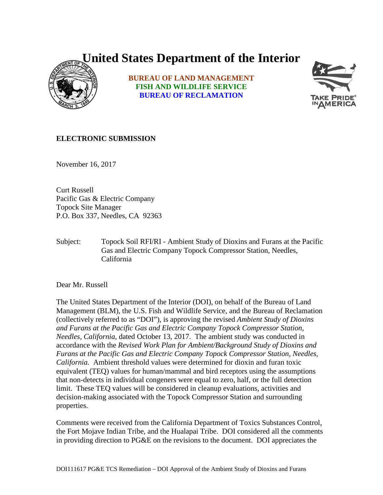## **United States Department of the Interior**



**BUREAU OF LAND MANAGEMENT FISH AND WILDLIFE SERVICE BUREAU OF RECLAMATION**



## **ELECTRONIC SUBMISSION**

November 16, 2017

Curt Russell Pacific Gas & Electric Company Topock Site Manager P.O. Box 337, Needles, CA 92363

Subject: Topock Soil RFI/RI - Ambient Study of Dioxins and Furans at the Pacific Gas and Electric Company Topock Compressor Station, Needles, California

Dear Mr. Russell

The United States Department of the Interior (DOI), on behalf of the Bureau of Land Management (BLM), the U.S. Fish and Wildlife Service, and the Bureau of Reclamation (collectively referred to as "DOI"), is approving the revised *Ambient Study of Dioxins and Furans at the Pacific Gas and Electric Company Topock Compressor Station, Needles, California,* dated October 13, 2017. The ambient study was conducted in accordance with the *Revised Work Plan for Ambient/Background Study of Dioxins and Furans at the Pacific Gas and Electric Company Topock Compressor Station, Needles, California.* Ambient threshold values were determined for dioxin and furan toxic equivalent (TEQ) values for human/mammal and bird receptors using the assumptions that non-detects in individual congeners were equal to zero, half, or the full detection limit. These TEQ values will be considered in cleanup evaluations, activities and decision-making associated with the Topock Compressor Station and surrounding properties.

Comments were received from the California Department of Toxics Substances Control, the Fort Mojave Indian Tribe, and the Hualapai Tribe. DOI considered all the comments in providing direction to PG&E on the revisions to the document. DOI appreciates the